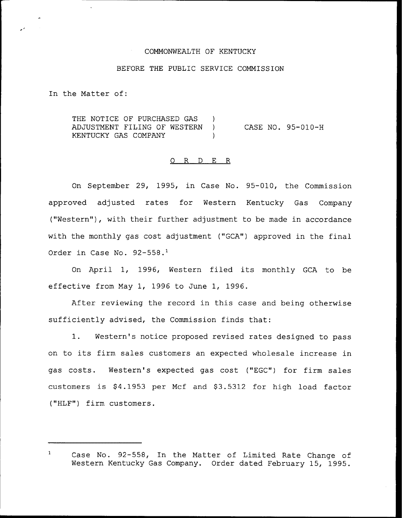### COMMONWEALTH OF KENTUCKY

# BEFORE THE PUBLIC SERVICE COMMISSION

In the Matter of:

THE NOTICE OF PURCHASED GAS ) ADJUSTMENT FILING OF WESTERN ) KENTUCKY GAS COMPANY CASE NO. 95-010-H

### 0 R <sup>D</sup> E R

On September 29, 1995, in Case No. 95-010, the Commission approved adjusted rates for Western Kentucky Gas Company ("Western"), with their further adjustment to be made in accordance with the monthly gas cost adjustment ("GCA") approved in the final Order in Case No.  $92-558$ .<sup>1</sup>

On April 1, 1996, Western filed its monthly GCA to be effective from May 1, 1996 to June 1, 1996.

After reviewing the record in this case and being otherwise sufficiently advised, the Commission finds that:

1. Western's notice proposed revised rates designed to pass on to its firm sales customers an expected wholesale increase in gas costs. Western's expected gas cost ("EGC") for firm sales customers is \$4.1953 per Mcf and \$3.5312 for high load factor ("HLF") firm customers.

 $\mathbf{1}$ Case No. 92-558, In the Matter of Limited Rate Change of Western Kentucky Gas Company. Order dated February 15, 1995.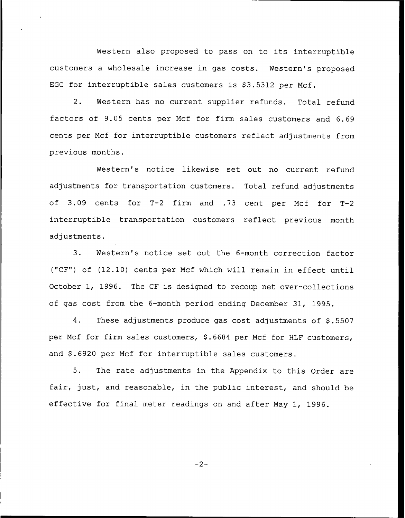Western also proposed to pass on to its interruptible customers a wholesale increase in gas costs. Western's proposed EGC for interruptible sales customers is  $$3.5312$  per Mcf.

2. Western has no current supplier refunds. Total refund factors of 9.05 cents per Mcf for firm sales customers and 6.69 cents per Ncf for interruptible customers reflect adjustments from previous months.

Western's notice likewise set out no current refund adjustments for transportation customers. Total refund adjustments of 3.09 cents for T-2 firm and .73 cent per Mcf for T-2 interruptible transportation customers reflect previous month adjustments.

3. Western's notice set out the 6-month correction factor ("CF") of (12.10) cents per Mcf which will remain in effect until October 1, 1996. The CF is designed to recoup net over-collections of gas cost from the 6-month period ending December 31, 1995.

4. These adjustments produce gas cost adjustments of \$.5507 per Mcf for firm sales customers, \$.6684 per Mcf for HLF customers, and \$.6920 per Mcf for interruptible sales customers.

5. The rate adjustments in the Appendix to this Order are fair, just, and reasonable, in the public interest, and should be effective for final meter readings on and after Nay 1, 1996.

 $-2-$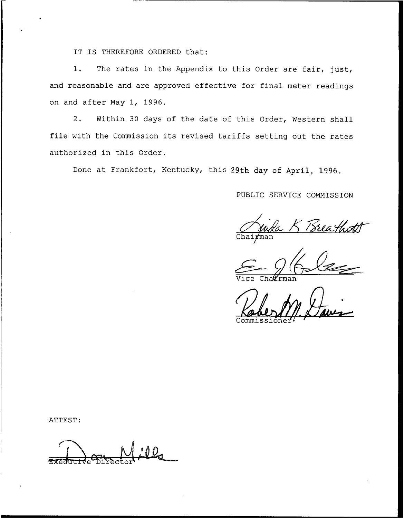IT IS THEREFORE ORDERED that:

1. The rates in the Appendix to this Order are fair, just, and reasonable and are approved effective for final meter readings on and after May 1, 1996.

2. Within 30 days of the date of this Order, Western shall file with the Commission its revised tariffs setting out the rates authorized in this Order.

Done at Frankfort, Kentucky, this 29th day of April, 1996.

PUBLIC SERVICE COMMISSION

Frea thi man!

Vice Cha*ll*rma

Commissione

ATTEST: